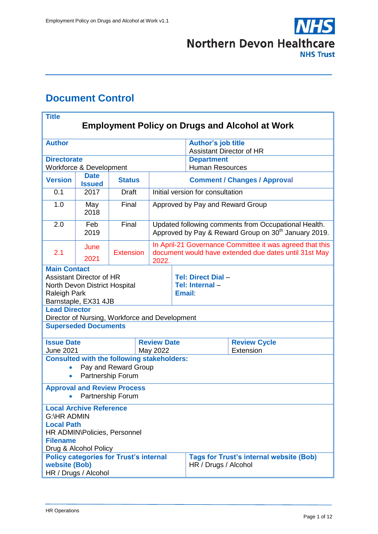

# <span id="page-0-0"></span>**Document Control**

| <b>Title</b><br><b>Employment Policy on Drugs and Alcohol at Work</b>                                                                                                                                                                                                                             |              |                  |                                     |                                                                                                                          |                                                      |                                                                                                                   |                                  |  |  |  |
|---------------------------------------------------------------------------------------------------------------------------------------------------------------------------------------------------------------------------------------------------------------------------------------------------|--------------|------------------|-------------------------------------|--------------------------------------------------------------------------------------------------------------------------|------------------------------------------------------|-------------------------------------------------------------------------------------------------------------------|----------------------------------|--|--|--|
|                                                                                                                                                                                                                                                                                                   |              |                  |                                     |                                                                                                                          |                                                      |                                                                                                                   |                                  |  |  |  |
| <b>Author</b>                                                                                                                                                                                                                                                                                     |              |                  |                                     |                                                                                                                          | <b>Author's job title</b>                            |                                                                                                                   |                                  |  |  |  |
| <b>Directorate</b>                                                                                                                                                                                                                                                                                |              |                  |                                     |                                                                                                                          | <b>Assistant Director of HR</b><br><b>Department</b> |                                                                                                                   |                                  |  |  |  |
| Workforce & Development                                                                                                                                                                                                                                                                           |              |                  |                                     |                                                                                                                          |                                                      | <b>Human Resources</b>                                                                                            |                                  |  |  |  |
| <b>Date</b><br><b>Version</b><br><b>Status</b><br><b>Issued</b>                                                                                                                                                                                                                                   |              |                  | <b>Comment / Changes / Approval</b> |                                                                                                                          |                                                      |                                                                                                                   |                                  |  |  |  |
| 0.1                                                                                                                                                                                                                                                                                               | 2017         | Draft            |                                     |                                                                                                                          |                                                      | Initial version for consultation                                                                                  |                                  |  |  |  |
| 1.0                                                                                                                                                                                                                                                                                               | May<br>2018  | Final            |                                     |                                                                                                                          | Approved by Pay and Reward Group                     |                                                                                                                   |                                  |  |  |  |
| 2.0                                                                                                                                                                                                                                                                                               | Feb<br>2019  | Final            |                                     | Updated following comments from Occupational Health.<br>Approved by Pay & Reward Group on 30 <sup>th</sup> January 2019. |                                                      |                                                                                                                   |                                  |  |  |  |
| 2.1                                                                                                                                                                                                                                                                                               | June<br>2021 | <b>Extension</b> |                                     | 2022.                                                                                                                    |                                                      | In April-21 Governance Committee it was agreed that this<br>document would have extended due dates until 31st May |                                  |  |  |  |
| <b>Main Contact</b><br><b>Assistant Director of HR</b><br>North Devon District Hospital<br><b>Raleigh Park</b><br>Barnstaple, EX31 4JB<br><b>Lead Director</b><br>Director of Nursing, Workforce and Development<br><b>Superseded Documents</b>                                                   |              |                  |                                     |                                                                                                                          |                                                      | Tel: Direct Dial -<br>Tel: Internal-<br><b>Email</b>                                                              |                                  |  |  |  |
| <b>Issue Date</b><br><b>June 2021</b>                                                                                                                                                                                                                                                             |              |                  |                                     | <b>Review Date</b><br>May 2022                                                                                           |                                                      |                                                                                                                   | <b>Review Cycle</b><br>Extension |  |  |  |
| <b>Consulted with the following stakeholders:</b><br>Pay and Reward Group<br>Partnership Forum<br>$\bullet$                                                                                                                                                                                       |              |                  |                                     |                                                                                                                          |                                                      |                                                                                                                   |                                  |  |  |  |
| <b>Approval and Review Process</b><br>Partnership Forum                                                                                                                                                                                                                                           |              |                  |                                     |                                                                                                                          |                                                      |                                                                                                                   |                                  |  |  |  |
| <b>Local Archive Reference</b><br><b>G:\HR ADMIN</b><br><b>Local Path</b><br>HR ADMIN\Policies, Personnel<br><b>Filename</b><br>Drug & Alcohol Policy<br><b>Policy categories for Trust's internal</b><br><b>Tags for Trust's internal website (Bob)</b><br>website (Bob)<br>HR / Drugs / Alcohol |              |                  |                                     |                                                                                                                          |                                                      |                                                                                                                   |                                  |  |  |  |
| HR / Drugs / Alcohol                                                                                                                                                                                                                                                                              |              |                  |                                     |                                                                                                                          |                                                      |                                                                                                                   |                                  |  |  |  |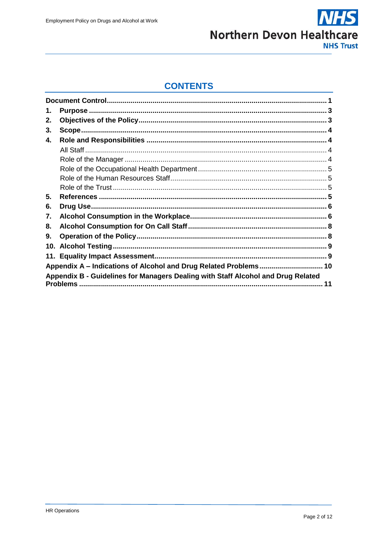

### **CONTENTS**

<span id="page-1-0"></span>

| 1.  |                                                                                                     |    |
|-----|-----------------------------------------------------------------------------------------------------|----|
| 2.  |                                                                                                     |    |
| 3.  |                                                                                                     |    |
| 4.  |                                                                                                     |    |
|     |                                                                                                     |    |
|     |                                                                                                     |    |
|     |                                                                                                     |    |
|     |                                                                                                     |    |
|     |                                                                                                     |    |
| 5.  |                                                                                                     |    |
| 6.  |                                                                                                     |    |
| 7.  |                                                                                                     |    |
| 8.  |                                                                                                     |    |
| 9.  |                                                                                                     |    |
| 10. |                                                                                                     |    |
|     |                                                                                                     |    |
|     | Appendix A - Indications of Alcohol and Drug Related Problems 10                                    |    |
|     | Appendix B - Guidelines for Managers Dealing with Staff Alcohol and Drug Related<br><b>Problems</b> | 11 |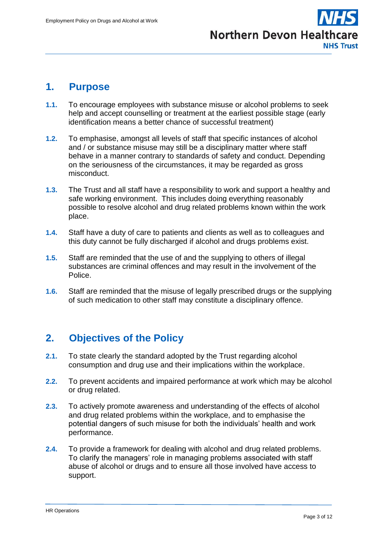

### **1. Purpose**

- **1.1.** To encourage employees with substance misuse or alcohol problems to seek help and accept counselling or treatment at the earliest possible stage (early identification means a better chance of successful treatment)
- **1.2.** To emphasise, amongst all levels of staff that specific instances of alcohol and / or substance misuse may still be a disciplinary matter where staff behave in a manner contrary to standards of safety and conduct. Depending on the seriousness of the circumstances, it may be regarded as gross misconduct.
- **1.3.** The Trust and all staff have a responsibility to work and support a healthy and safe working environment. This includes doing everything reasonably possible to resolve alcohol and drug related problems known within the work place.
- **1.4.** Staff have a duty of care to patients and clients as well as to colleagues and this duty cannot be fully discharged if alcohol and drugs problems exist.
- **1.5.** Staff are reminded that the use of and the supplying to others of illegal substances are criminal offences and may result in the involvement of the Police.
- **1.6.** Staff are reminded that the misuse of legally prescribed drugs or the supplying of such medication to other staff may constitute a disciplinary offence.

# <span id="page-2-0"></span>**2. Objectives of the Policy**

- **2.1.** To state clearly the standard adopted by the Trust regarding alcohol consumption and drug use and their implications within the workplace.
- **2.2.** To prevent accidents and impaired performance at work which may be alcohol or drug related.
- **2.3.** To actively promote awareness and understanding of the effects of alcohol and drug related problems within the workplace, and to emphasise the potential dangers of such misuse for both the individuals' health and work performance.
- **2.4.** To provide a framework for dealing with alcohol and drug related problems. To clarify the managers' role in managing problems associated with staff abuse of alcohol or drugs and to ensure all those involved have access to support.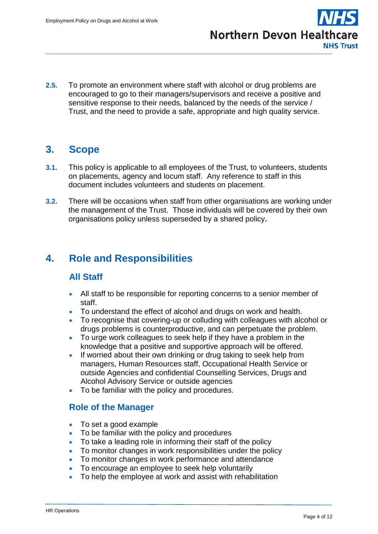

**2.5.** To promote an environment where staff with alcohol or drug problems are encouraged to go to their managers/supervisors and receive a positive and sensitive response to their needs, balanced by the needs of the service / Trust, and the need to provide a safe, appropriate and high quality service.

## <span id="page-3-0"></span>**3. Scope**

- **3.1.** This policy is applicable to all employees of the Trust, to volunteers, students on placements, agency and locum staff. Any reference to staff in this document includes volunteers and students on placement.
- **3.2.** There will be occasions when staff from other organisations are working under the management of the Trust. Those individuals will be covered by their own organisations policy unless superseded by a shared policy**.**

# <span id="page-3-2"></span><span id="page-3-1"></span>**4. Role and Responsibilities**

### **All Staff**

- All staff to be responsible for reporting concerns to a senior member of staff.
- To understand the effect of alcohol and drugs on work and health.
- To recognise that covering-up or colluding with colleagues with alcohol or drugs problems is counterproductive, and can perpetuate the problem.
- To urge work colleagues to seek help if they have a problem in the knowledge that a positive and supportive approach will be offered.
- If worried about their own drinking or drug taking to seek help from managers, Human Resources staff, Occupational Health Service or outside Agencies and confidential Counselling Services, Drugs and Alcohol Advisory Service or outside agencies
- To be familiar with the policy and procedures.

#### <span id="page-3-3"></span>**Role of the Manager**

- To set a good example
- To be familiar with the policy and procedures
- To take a leading role in informing their staff of the policy
- To monitor changes in work responsibilities under the policy
- To monitor changes in work performance and attendance
- To encourage an employee to seek help voluntarily
- To help the employee at work and assist with rehabilitation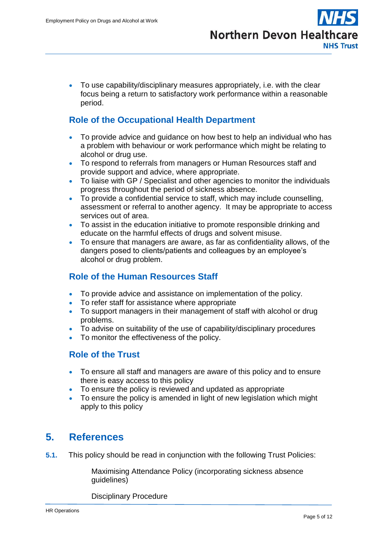To use capability/disciplinary measures appropriately, i.e. with the clear focus being a return to satisfactory work performance within a reasonable period.

### <span id="page-4-0"></span>**Role of the Occupational Health Department**

- To provide advice and guidance on how best to help an individual who has a problem with behaviour or work performance which might be relating to alcohol or drug use.
- To respond to referrals from managers or Human Resources staff and provide support and advice, where appropriate.
- To liaise with GP / Specialist and other agencies to monitor the individuals progress throughout the period of sickness absence.
- To provide a confidential service to staff, which may include counselling, assessment or referral to another agency. It may be appropriate to access services out of area.
- To assist in the education initiative to promote responsible drinking and educate on the harmful effects of drugs and solvent misuse.
- To ensure that managers are aware, as far as confidentiality allows, of the dangers posed to clients/patients and colleagues by an employee's alcohol or drug problem.

### <span id="page-4-1"></span>**Role of the Human Resources Staff**

- To provide advice and assistance on implementation of the policy.
- To refer staff for assistance where appropriate
- To support managers in their management of staff with alcohol or drug problems.
- To advise on suitability of the use of capability/disciplinary procedures
- To monitor the effectiveness of the policy.

#### <span id="page-4-2"></span>**Role of the Trust**

- To ensure all staff and managers are aware of this policy and to ensure there is easy access to this policy
- To ensure the policy is reviewed and updated as appropriate
- To ensure the policy is amended in light of new legislation which might apply to this policy

## <span id="page-4-3"></span>**5. References**

**5.1.** This policy should be read in conjunction with the following Trust Policies:

Maximising Attendance Policy (incorporating sickness absence guidelines)

Disciplinary Procedure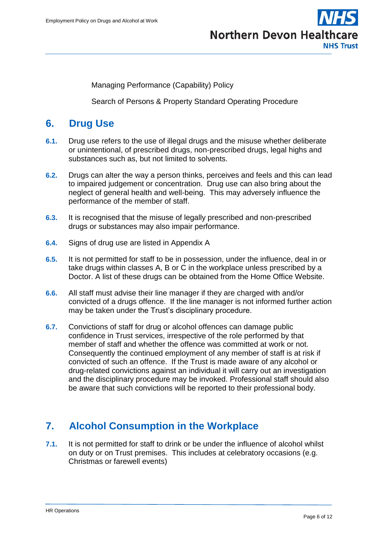**Northern Devon Healthcare NHS Trust** 

Managing Performance (Capability) Policy

Search of Persons & Property Standard Operating Procedure

## <span id="page-5-0"></span>**6. Drug Use**

- **6.1.** Drug use refers to the use of illegal drugs and the misuse whether deliberate or unintentional, of prescribed drugs, non-prescribed drugs, legal highs and substances such as, but not limited to solvents.
- **6.2.** Drugs can alter the way a person thinks, perceives and feels and this can lead to impaired judgement or concentration. Drug use can also bring about the neglect of general health and well-being. This may adversely influence the performance of the member of staff.
- **6.3.** It is recognised that the misuse of legally prescribed and non-prescribed drugs or substances may also impair performance.
- **6.4.** Signs of drug use are listed in Appendix A
- **6.5.** It is not permitted for staff to be in possession, under the influence, deal in or take drugs within classes A, B or C in the workplace unless prescribed by a Doctor. A list of these drugs can be obtained from the Home Office Website.
- **6.6.** All staff must advise their line manager if they are charged with and/or convicted of a drugs offence. If the line manager is not informed further action may be taken under the Trust's disciplinary procedure.
- **6.7.** Convictions of staff for drug or alcohol offences can damage public confidence in Trust services, irrespective of the role performed by that member of staff and whether the offence was committed at work or not. Consequently the continued employment of any member of staff is at risk if convicted of such an offence. If the Trust is made aware of any alcohol or drug-related convictions against an individual it will carry out an investigation and the disciplinary procedure may be invoked. Professional staff should also be aware that such convictions will be reported to their professional body.

## <span id="page-5-1"></span>**7. Alcohol Consumption in the Workplace**

**7.1.** It is not permitted for staff to drink or be under the influence of alcohol whilst on duty or on Trust premises. This includes at celebratory occasions (e.g. Christmas or farewell events)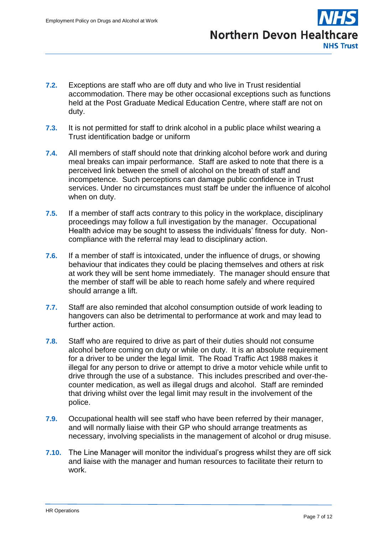**Northern Devon Healthcare NHS Trust** 

- **7.2.** Exceptions are staff who are off duty and who live in Trust residential accommodation. There may be other occasional exceptions such as functions held at the Post Graduate Medical Education Centre, where staff are not on duty.
- **7.3.** It is not permitted for staff to drink alcohol in a public place whilst wearing a Trust identification badge or uniform
- **7.4.** All members of staff should note that drinking alcohol before work and during meal breaks can impair performance. Staff are asked to note that there is a perceived link between the smell of alcohol on the breath of staff and incompetence. Such perceptions can damage public confidence in Trust services. Under no circumstances must staff be under the influence of alcohol when on duty.
- **7.5.** If a member of staff acts contrary to this policy in the workplace, disciplinary proceedings may follow a full investigation by the manager. Occupational Health advice may be sought to assess the individuals' fitness for duty. Noncompliance with the referral may lead to disciplinary action.
- **7.6.** If a member of staff is intoxicated, under the influence of drugs, or showing behaviour that indicates they could be placing themselves and others at risk at work they will be sent home immediately. The manager should ensure that the member of staff will be able to reach home safely and where required should arrange a lift.
- **7.7.** Staff are also reminded that alcohol consumption outside of work leading to hangovers can also be detrimental to performance at work and may lead to further action.
- **7.8.** Staff who are required to drive as part of their duties should not consume alcohol before coming on duty or while on duty. It is an absolute requirement for a driver to be under the legal limit. The Road Traffic Act 1988 makes it illegal for any person to drive or attempt to drive a motor vehicle while unfit to drive through the use of a substance. This includes prescribed and over-thecounter medication, as well as illegal drugs and alcohol. Staff are reminded that driving whilst over the legal limit may result in the involvement of the police.
- **7.9.** Occupational health will see staff who have been referred by their manager, and will normally liaise with their GP who should arrange treatments as necessary, involving specialists in the management of alcohol or drug misuse.
- **7.10.** The Line Manager will monitor the individual's progress whilst they are off sick and liaise with the manager and human resources to facilitate their return to work.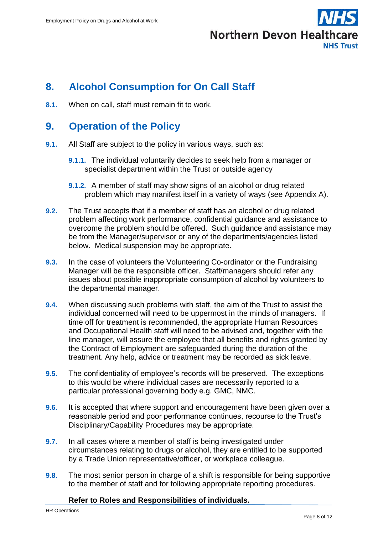

## <span id="page-7-0"></span>**8. Alcohol Consumption for On Call Staff**

**8.1.** When on call, staff must remain fit to work.

### <span id="page-7-1"></span>**9. Operation of the Policy**

- **9.1.** All Staff are subject to the policy in various ways, such as:
	- **9.1.1.** The individual voluntarily decides to seek help from a manager or specialist department within the Trust or outside agency
	- **9.1.2.** A member of staff may show signs of an alcohol or drug related problem which may manifest itself in a variety of ways (see Appendix A).
- **9.2.** The Trust accepts that if a member of staff has an alcohol or drug related problem affecting work performance, confidential guidance and assistance to overcome the problem should be offered. Such guidance and assistance may be from the Manager/supervisor or any of the departments/agencies listed below. Medical suspension may be appropriate.
- **9.3.** In the case of volunteers the Volunteering Co-ordinator or the Fundraising Manager will be the responsible officer. Staff/managers should refer any issues about possible inappropriate consumption of alcohol by volunteers to the departmental manager.
- **9.4.** When discussing such problems with staff, the aim of the Trust to assist the individual concerned will need to be uppermost in the minds of managers. If time off for treatment is recommended, the appropriate Human Resources and Occupational Health staff will need to be advised and, together with the line manager, will assure the employee that all benefits and rights granted by the Contract of Employment are safeguarded during the duration of the treatment. Any help, advice or treatment may be recorded as sick leave.
- **9.5.** The confidentiality of employee's records will be preserved. The exceptions to this would be where individual cases are necessarily reported to a particular professional governing body e.g. GMC, NMC.
- **9.6.** It is accepted that where support and encouragement have been given over a reasonable period and poor performance continues, recourse to the Trust's Disciplinary/Capability Procedures may be appropriate.
- **9.7.** In all cases where a member of staff is being investigated under circumstances relating to drugs or alcohol, they are entitled to be supported by a Trade Union representative/officer, or workplace colleague.
- **9.8.** The most senior person in charge of a shift is responsible for being supportive to the member of staff and for following appropriate reporting procedures.

#### **Refer to Roles and Responsibilities of individuals.**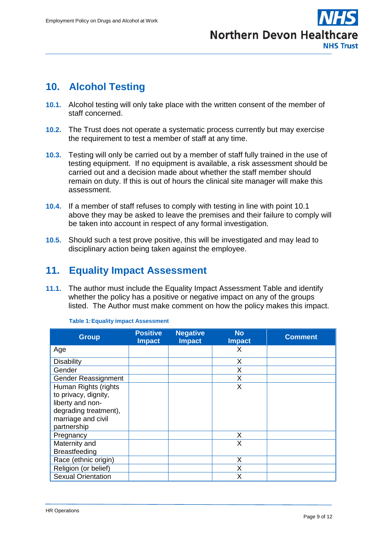

# <span id="page-8-0"></span>**10. Alcohol Testing**

- **10.1.** Alcohol testing will only take place with the written consent of the member of staff concerned.
- **10.2.** The Trust does not operate a systematic process currently but may exercise the requirement to test a member of staff at any time.
- **10.3.** Testing will only be carried out by a member of staff fully trained in the use of testing equipment. If no equipment is available, a risk assessment should be carried out and a decision made about whether the staff member should remain on duty. If this is out of hours the clinical site manager will make this assessment.
- **10.4.** If a member of staff refuses to comply with testing in line with point 10.1 above they may be asked to leave the premises and their failure to comply will be taken into account in respect of any formal investigation.
- **10.5.** Should such a test prove positive, this will be investigated and may lead to disciplinary action being taken against the employee.

# <span id="page-8-1"></span>**11. Equality Impact Assessment**

**11.1.** The author must include the Equality Impact Assessment Table and identify whether the policy has a positive or negative impact on any of the groups listed. The Author must make comment on how the policy makes this impact.

| <b>Group</b>              | <b>Positive</b><br><b>Impact</b> | <b>Negative</b><br><b>Impact</b> | <b>No</b><br><b>Impact</b> | <b>Comment</b> |
|---------------------------|----------------------------------|----------------------------------|----------------------------|----------------|
| Age                       |                                  |                                  | X.                         |                |
| <b>Disability</b>         |                                  |                                  | X                          |                |
| Gender                    |                                  |                                  | Χ                          |                |
| Gender Reassignment       |                                  |                                  | X                          |                |
| Human Rights (rights      |                                  |                                  | X                          |                |
| to privacy, dignity,      |                                  |                                  |                            |                |
| liberty and non-          |                                  |                                  |                            |                |
| degrading treatment),     |                                  |                                  |                            |                |
| marriage and civil        |                                  |                                  |                            |                |
| partnership               |                                  |                                  |                            |                |
| Pregnancy                 |                                  |                                  | X                          |                |
| Maternity and             |                                  |                                  | X                          |                |
| <b>Breastfeeding</b>      |                                  |                                  |                            |                |
| Race (ethnic origin)      |                                  |                                  | X                          |                |
| Religion (or belief)      |                                  |                                  | X                          |                |
| <b>Sexual Orientation</b> |                                  |                                  | X                          |                |

**Table 1:Equality impact Assessment**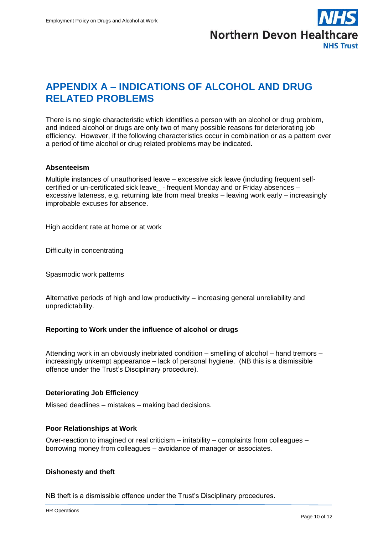

# <span id="page-9-0"></span>**APPENDIX A – INDICATIONS OF ALCOHOL AND DRUG RELATED PROBLEMS**

There is no single characteristic which identifies a person with an alcohol or drug problem, and indeed alcohol or drugs are only two of many possible reasons for deteriorating job efficiency. However, if the following characteristics occur in combination or as a pattern over a period of time alcohol or drug related problems may be indicated.

#### **Absenteeism**

Multiple instances of unauthorised leave – excessive sick leave (including frequent selfcertified or un-certificated sick leave\_ - frequent Monday and or Friday absences – excessive lateness, e.g. returning late from meal breaks – leaving work early – increasingly improbable excuses for absence.

High accident rate at home or at work

Difficulty in concentrating

Spasmodic work patterns

Alternative periods of high and low productivity – increasing general unreliability and unpredictability.

#### **Reporting to Work under the influence of alcohol or drugs**

Attending work in an obviously inebriated condition – smelling of alcohol – hand tremors – increasingly unkempt appearance – lack of personal hygiene. (NB this is a dismissible offence under the Trust's Disciplinary procedure).

#### **Deteriorating Job Efficiency**

Missed deadlines – mistakes – making bad decisions.

#### **Poor Relationships at Work**

Over-reaction to imagined or real criticism – irritability – complaints from colleagues – borrowing money from colleagues – avoidance of manager or associates.

#### **Dishonesty and theft**

NB theft is a dismissible offence under the Trust's Disciplinary procedures.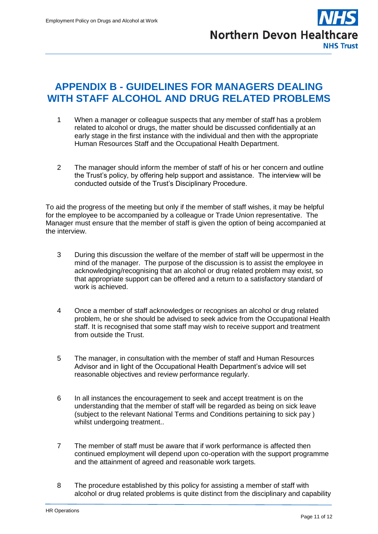

## <span id="page-10-0"></span>**APPENDIX B - GUIDELINES FOR MANAGERS DEALING WITH STAFF ALCOHOL AND DRUG RELATED PROBLEMS**

- 1 When a manager or colleague suspects that any member of staff has a problem related to alcohol or drugs, the matter should be discussed confidentially at an early stage in the first instance with the individual and then with the appropriate Human Resources Staff and the Occupational Health Department.
- 2 The manager should inform the member of staff of his or her concern and outline the Trust's policy, by offering help support and assistance. The interview will be conducted outside of the Trust's Disciplinary Procedure.

To aid the progress of the meeting but only if the member of staff wishes, it may be helpful for the employee to be accompanied by a colleague or Trade Union representative. The Manager must ensure that the member of staff is given the option of being accompanied at the interview.

- 3 During this discussion the welfare of the member of staff will be uppermost in the mind of the manager. The purpose of the discussion is to assist the employee in acknowledging/recognising that an alcohol or drug related problem may exist, so that appropriate support can be offered and a return to a satisfactory standard of work is achieved.
- 4 Once a member of staff acknowledges or recognises an alcohol or drug related problem, he or she should be advised to seek advice from the Occupational Health staff. It is recognised that some staff may wish to receive support and treatment from outside the Trust.
- 5 The manager, in consultation with the member of staff and Human Resources Advisor and in light of the Occupational Health Department's advice will set reasonable objectives and review performance regularly.
- 6 In all instances the encouragement to seek and accept treatment is on the understanding that the member of staff will be regarded as being on sick leave (subject to the relevant National Terms and Conditions pertaining to sick pay ) whilst undergoing treatment..
- 7 The member of staff must be aware that if work performance is affected then continued employment will depend upon co-operation with the support programme and the attainment of agreed and reasonable work targets.
- 8 The procedure established by this policy for assisting a member of staff with alcohol or drug related problems is quite distinct from the disciplinary and capability